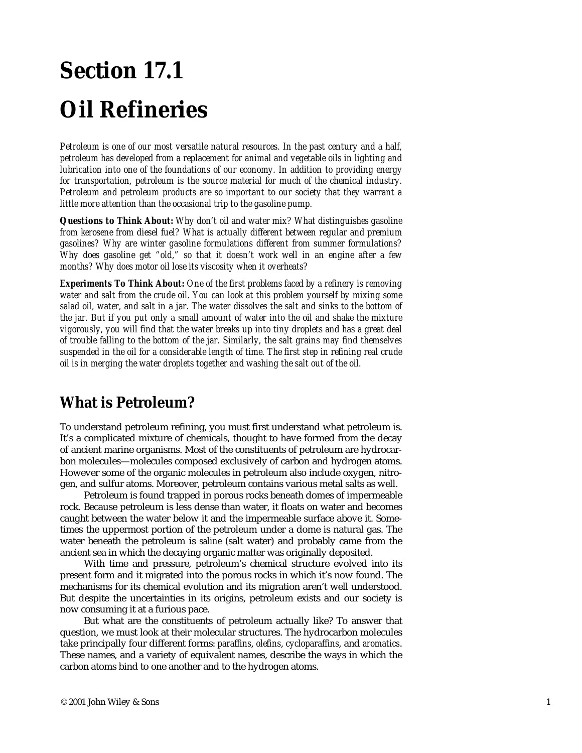# **Section 17.1 Oil Refineries**

*Petroleum is one of our most versatile natural resources. In the past century and a half, petroleum has developed from a replacement for animal and vegetable oils in lighting and lubrication into one of the foundations of our economy. In addition to providing energy for transportation, petroleum is the source material for much of the chemical industry. Petroleum and petroleum products are so important to our society that they warrant a little more attention than the occasional trip to the gasoline pump.* 

*Questions to Think About: Why don't oil and water mix? What distinguishes gasoline from kerosene from diesel fuel? What is actually different between regular and premium gasolines? Why are winter gasoline formulations different from summer formulations? Why does gasoline get "old," so that it doesn't work well in an engine after a few months? Why does motor oil lose its viscosity when it overheats?* 

*Experiments To Think About: One of the first problems faced by a refinery is removing water and salt from the crude oil. You can look at this problem yourself by mixing some salad oil, water, and salt in a jar. The water dissolves the salt and sinks to the bottom of the jar. But if you put only a small amount of water into the oil and shake the mixture vigorously, you will find that the water breaks up into tiny droplets and has a great deal of trouble falling to the bottom of the jar. Similarly, the salt grains may find themselves suspended in the oil for a considerable length of time. The first step in refining real crude oil is in merging the water droplets together and washing the salt out of the oil.* 

# **What is Petroleum?**

To understand petroleum refining, you must first understand what petroleum is. It's a complicated mixture of chemicals, thought to have formed from the decay of ancient marine organisms. Most of the constituents of petroleum are hydrocarbon molecules—molecules composed exclusively of carbon and hydrogen atoms. However some of the organic molecules in petroleum also include oxygen, nitrogen, and sulfur atoms. Moreover, petroleum contains various metal salts as well.

Petroleum is found trapped in porous rocks beneath domes of impermeable rock. Because petroleum is less dense than water, it floats on water and becomes caught between the water below it and the impermeable surface above it. Sometimes the uppermost portion of the petroleum under a dome is natural gas. The water beneath the petroleum is *saline* (salt water) and probably came from the ancient sea in which the decaying organic matter was originally deposited.

With time and pressure, petroleum's chemical structure evolved into its present form and it migrated into the porous rocks in which it's now found. The mechanisms for its chemical evolution and its migration aren't well understood. But despite the uncertainties in its origins, petroleum exists and our society is now consuming it at a furious pace.

But what are the constituents of petroleum actually like? To answer that question, we must look at their molecular structures. The hydrocarbon molecules take principally four different forms: *paraffins*, *olefins*, *cycloparaffins*, and *aromatics*. These names, and a variety of equivalent names, describe the ways in which the carbon atoms bind to one another and to the hydrogen atoms.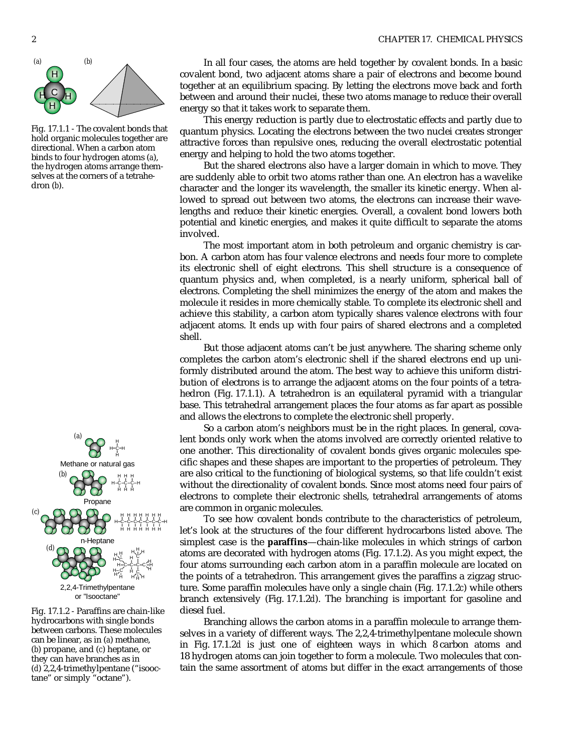

Fig. 17.1.1 - The covalent bonds that hold organic molecules together are directional. When a carbon atom binds to four hydrogen atoms (*a*), the hydrogen atoms arrange themselves at the corners of a tetrahedron (*b*).



Fig. 17.1.2 - Paraffins are chain-like hydrocarbons with single bonds between carbons. These molecules can be linear, as in (*a*) methane, (*b*) propane, and (*c*) heptane, or they can have branches as in (*d*) 2,2,4-trimethylpentane ("isooctane" or simply "octane").

In all four cases, the atoms are held together by covalent bonds. In a basic covalent bond, two adjacent atoms share a pair of electrons and become bound together at an equilibrium spacing. By letting the electrons move back and forth between and around their nuclei, these two atoms manage to reduce their overall energy so that it takes work to separate them.

This energy reduction is partly due to electrostatic effects and partly due to quantum physics. Locating the electrons between the two nuclei creates stronger attractive forces than repulsive ones, reducing the overall electrostatic potential energy and helping to hold the two atoms together.

But the shared electrons also have a larger domain in which to move. They are suddenly able to orbit two atoms rather than one. An electron has a wavelike character and the longer its wavelength, the smaller its kinetic energy. When allowed to spread out between two atoms, the electrons can increase their wavelengths and reduce their kinetic energies. Overall, a covalent bond lowers both potential and kinetic energies, and makes it quite difficult to separate the atoms involved.

The most important atom in both petroleum and organic chemistry is carbon. A carbon atom has four valence electrons and needs four more to complete its electronic shell of eight electrons. This shell structure is a consequence of quantum physics and, when completed, is a nearly uniform, spherical ball of electrons. Completing the shell minimizes the energy of the atom and makes the molecule it resides in more chemically stable. To complete its electronic shell and achieve this stability, a carbon atom typically shares valence electrons with four adjacent atoms. It ends up with four pairs of shared electrons and a completed shell.

But those adjacent atoms can't be just anywhere. The sharing scheme only completes the carbon atom's electronic shell if the shared electrons end up uniformly distributed around the atom. The best way to achieve this uniform distribution of electrons is to arrange the adjacent atoms on the four points of a tetrahedron (Fig. 17.1.1). A tetrahedron is an equilateral pyramid with a triangular base. This tetrahedral arrangement places the four atoms as far apart as possible and allows the electrons to complete the electronic shell properly.

So a carbon atom's neighbors must be in the right places. In general, covalent bonds only work when the atoms involved are correctly oriented relative to one another. This directionality of covalent bonds gives organic molecules specific shapes and these shapes are important to the properties of petroleum. They are also critical to the functioning of biological systems, so that life couldn't exist without the directionality of covalent bonds. Since most atoms need four pairs of electrons to complete their electronic shells, tetrahedral arrangements of atoms are common in organic molecules.

To see how covalent bonds contribute to the characteristics of petroleum, let's look at the structures of the four different hydrocarbons listed above. The simplest case is the **paraffins**—chain-like molecules in which strings of carbon atoms are decorated with hydrogen atoms (Fig. 17.1.2). As you might expect, the four atoms surrounding each carbon atom in a paraffin molecule are located on the points of a tetrahedron. This arrangement gives the paraffins a zigzag structure. Some paraffin molecules have only a single chain (Fig. 17.1.2*c*) while others branch extensively (Fig. 17.1.2*d*). The branching is important for gasoline and diesel fuel.

Branching allows the carbon atoms in a paraffin molecule to arrange themselves in a variety of different ways. The 2,2,4-trimethylpentane molecule shown in Fig. 17.1.2*d* is just one of eighteen ways in which 8 carbon atoms and 18 hydrogen atoms can join together to form a molecule. Two molecules that contain the same assortment of atoms but differ in the exact arrangements of those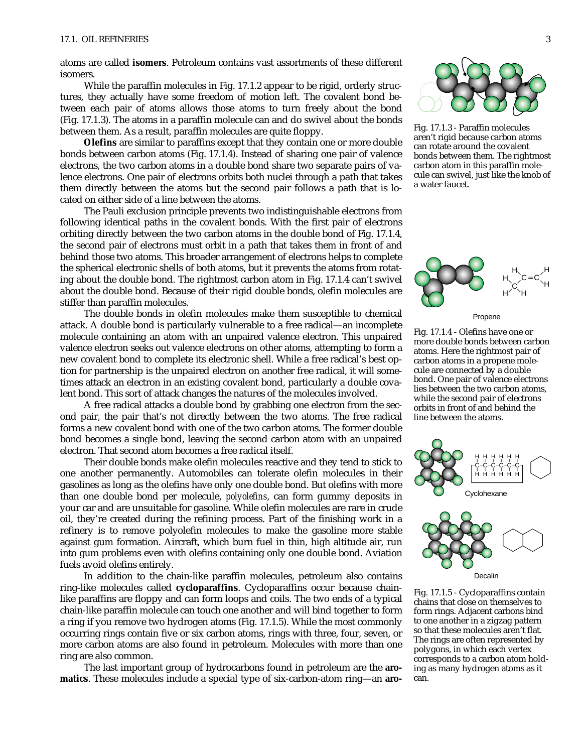atoms are called **isomers**. Petroleum contains vast assortments of these different isomers.

While the paraffin molecules in Fig. 17.1.2 appear to be rigid, orderly structures, they actually have some freedom of motion left. The covalent bond between each pair of atoms allows those atoms to turn freely about the bond (Fig. 17.1.3). The atoms in a paraffin molecule can and do swivel about the bonds between them. As a result, paraffin molecules are quite floppy.

**Olefins** are similar to paraffins except that they contain one or more double bonds between carbon atoms (Fig. 17.1.4). Instead of sharing one pair of valence electrons, the two carbon atoms in a double bond share two separate pairs of valence electrons. One pair of electrons orbits both nuclei through a path that takes them directly between the atoms but the second pair follows a path that is located on either side of a line between the atoms.

The Pauli exclusion principle prevents two indistinguishable electrons from following identical paths in the covalent bonds. With the first pair of electrons orbiting directly between the two carbon atoms in the double bond of Fig. 17.1.4, the second pair of electrons must orbit in a path that takes them in front of and behind those two atoms. This broader arrangement of electrons helps to complete the spherical electronic shells of both atoms, but it prevents the atoms from rotating about the double bond. The rightmost carbon atom in Fig. 17.1.4 can't swivel about the double bond. Because of their rigid double bonds, olefin molecules are stiffer than paraffin molecules.

The double bonds in olefin molecules make them susceptible to chemical attack. A double bond is particularly vulnerable to a free radical—an incomplete molecule containing an atom with an unpaired valence electron. This unpaired valence electron seeks out valence electrons on other atoms, attempting to form a new covalent bond to complete its electronic shell. While a free radical's best option for partnership is the unpaired electron on another free radical, it will sometimes attack an electron in an existing covalent bond, particularly a double covalent bond. This sort of attack changes the natures of the molecules involved.

A free radical attacks a double bond by grabbing one electron from the second pair, the pair that's not directly between the two atoms. The free radical forms a new covalent bond with one of the two carbon atoms. The former double bond becomes a single bond, leaving the second carbon atom with an unpaired electron. That second atom becomes a free radical itself.

Their double bonds make olefin molecules reactive and they tend to stick to one another permanently. Automobiles can tolerate olefin molecules in their gasolines as long as the olefins have only one double bond. But olefins with more than one double bond per molecule, *polyolefins*, can form gummy deposits in your car and are unsuitable for gasoline. While olefin molecules are rare in crude oil, they're created during the refining process. Part of the finishing work in a refinery is to remove polyolefin molecules to make the gasoline more stable against gum formation. Aircraft, which burn fuel in thin, high altitude air, run into gum problems even with olefins containing only one double bond. Aviation fuels avoid olefins entirely.

In addition to the chain-like paraffin molecules, petroleum also contains ring-like molecules called **cycloparaffins**. Cycloparaffins occur because chainlike paraffins are floppy and can form loops and coils. The two ends of a typical chain-like paraffin molecule can touch one another and will bind together to form a ring if you remove two hydrogen atoms (Fig. 17.1.5). While the most commonly occurring rings contain five or six carbon atoms, rings with three, four, seven, or more carbon atoms are also found in petroleum. Molecules with more than one ring are also common.

The last important group of hydrocarbons found in petroleum are the **aromatics**. These molecules include a special type of six-carbon-atom ring—an **aro-**



Fig. 17.1.3 - Paraffin molecules aren't rigid because carbon atoms can rotate around the covalent bonds between them. The rightmost carbon atom in this paraffin molecule can swivel, just like the knob of a water faucet.



Propene

Fig. 17.1.4 - Olefins have one or more double bonds between carbon atoms. Here the rightmost pair of carbon atoms in a propene molecule are connected by a double bond. One pair of valence electrons lies between the two carbon atoms, while the second pair of electrons orbits in front of and behind the line between the atoms.



Fig. 17.1.5 - Cycloparaffins contain chains that close on themselves to form rings. Adjacent carbons bind to one another in a zigzag pattern so that these molecules aren't flat. The rings are often represented by polygons, in which each vertex corresponds to a carbon atom holding as many hydrogen atoms as it can.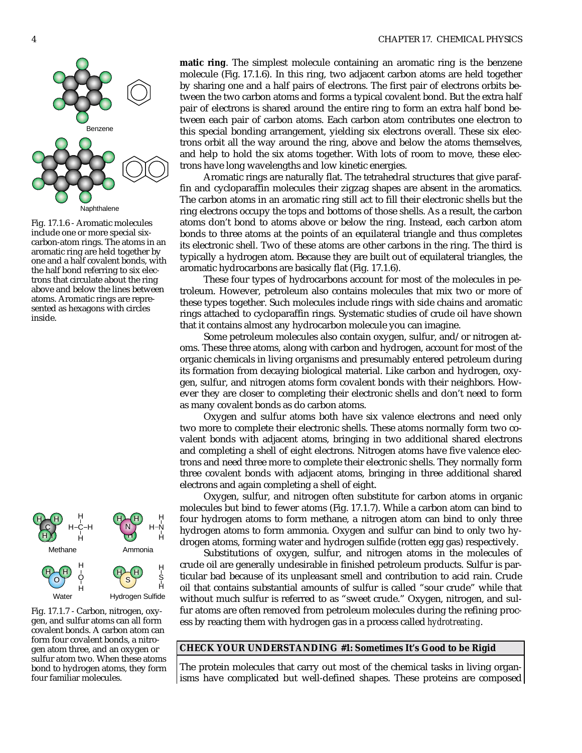

Fig. 17.1.6 - Aromatic molecules include one or more special sixcarbon-atom rings. The atoms in an aromatic ring are held together by one and a half covalent bonds, with the half bond referring to six electrons that circulate about the ring above and below the lines between atoms. Aromatic rings are represented as hexagons with circles inside.



Fig. 17.1.7 - Carbon, nitrogen, oxygen, and sulfur atoms can all form covalent bonds. A carbon atom can form four covalent bonds, a nitrogen atom three, and an oxygen or sulfur atom two. When these atoms bond to hydrogen atoms, they form four familiar molecules.

**matic ring**. The simplest molecule containing an aromatic ring is the benzene molecule (Fig. 17.1.6). In this ring, two adjacent carbon atoms are held together by sharing one and a half pairs of electrons. The first pair of electrons orbits between the two carbon atoms and forms a typical covalent bond. But the extra half pair of electrons is shared around the entire ring to form an extra half bond between each pair of carbon atoms. Each carbon atom contributes one electron to this special bonding arrangement, yielding six electrons overall. These six electrons orbit all the way around the ring, above and below the atoms themselves, and help to hold the six atoms together. With lots of room to move, these electrons have long wavelengths and low kinetic energies.

Aromatic rings are naturally flat. The tetrahedral structures that give paraffin and cycloparaffin molecules their zigzag shapes are absent in the aromatics. The carbon atoms in an aromatic ring still act to fill their electronic shells but the ring electrons occupy the tops and bottoms of those shells. As a result, the carbon atoms don't bond to atoms above or below the ring. Instead, each carbon atom bonds to three atoms at the points of an equilateral triangle and thus completes its electronic shell. Two of these atoms are other carbons in the ring. The third is typically a hydrogen atom. Because they are built out of equilateral triangles, the aromatic hydrocarbons are basically flat (Fig. 17.1.6).

These four types of hydrocarbons account for most of the molecules in petroleum. However, petroleum also contains molecules that mix two or more of these types together. Such molecules include rings with side chains and aromatic rings attached to cycloparaffin rings. Systematic studies of crude oil have shown that it contains almost any hydrocarbon molecule you can imagine.

Some petroleum molecules also contain oxygen, sulfur, and/or nitrogen atoms. These three atoms, along with carbon and hydrogen, account for most of the organic chemicals in living organisms and presumably entered petroleum during its formation from decaying biological material. Like carbon and hydrogen, oxygen, sulfur, and nitrogen atoms form covalent bonds with their neighbors. However they are closer to completing their electronic shells and don't need to form as many covalent bonds as do carbon atoms.

Oxygen and sulfur atoms both have six valence electrons and need only two more to complete their electronic shells. These atoms normally form two covalent bonds with adjacent atoms, bringing in two additional shared electrons and completing a shell of eight electrons. Nitrogen atoms have five valence electrons and need three more to complete their electronic shells. They normally form three covalent bonds with adjacent atoms, bringing in three additional shared electrons and again completing a shell of eight.

Oxygen, sulfur, and nitrogen often substitute for carbon atoms in organic molecules but bind to fewer atoms (Fig. 17.1.7). While a carbon atom can bind to four hydrogen atoms to form methane, a nitrogen atom can bind to only three hydrogen atoms to form ammonia. Oxygen and sulfur can bind to only two hydrogen atoms, forming water and hydrogen sulfide (rotten egg gas) respectively.

Substitutions of oxygen, sulfur, and nitrogen atoms in the molecules of crude oil are generally undesirable in finished petroleum products. Sulfur is particular bad because of its unpleasant smell and contribution to acid rain. Crude oil that contains substantial amounts of sulfur is called "sour crude" while that without much sulfur is referred to as "sweet crude." Oxygen, nitrogen, and sulfur atoms are often removed from petroleum molecules during the refining process by reacting them with hydrogen gas in a process called *hydrotreating*.

#### **CHECK YOUR UNDERSTANDING #1: Sometimes It's Good to be Rigid**

The protein molecules that carry out most of the chemical tasks in living organisms have complicated but well-defined shapes. These proteins are composed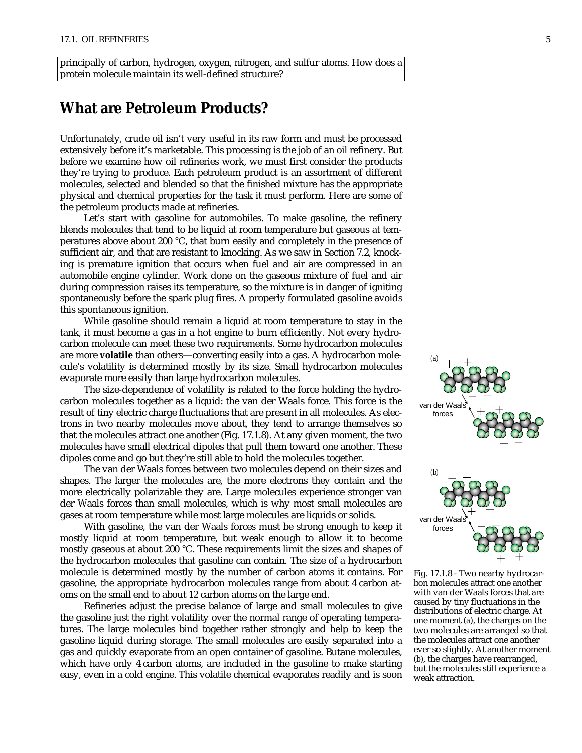principally of carbon, hydrogen, oxygen, nitrogen, and sulfur atoms. How does a protein molecule maintain its well-defined structure?

## **What are Petroleum Products?**

Unfortunately, crude oil isn't very useful in its raw form and must be processed extensively before it's marketable. This processing is the job of an oil refinery. But before we examine how oil refineries work, we must first consider the products they're trying to produce. Each petroleum product is an assortment of different molecules, selected and blended so that the finished mixture has the appropriate physical and chemical properties for the task it must perform. Here are some of the petroleum products made at refineries.

Let's start with gasoline for automobiles. To make gasoline, the refinery blends molecules that tend to be liquid at room temperature but gaseous at temperatures above about 200 °C, that burn easily and completely in the presence of sufficient air, and that are resistant to knocking. As we saw in Section 7.2, knocking is premature ignition that occurs when fuel and air are compressed in an automobile engine cylinder. Work done on the gaseous mixture of fuel and air during compression raises its temperature, so the mixture is in danger of igniting spontaneously before the spark plug fires. A properly formulated gasoline avoids this spontaneous ignition.

While gasoline should remain a liquid at room temperature to stay in the tank, it must become a gas in a hot engine to burn efficiently. Not every hydrocarbon molecule can meet these two requirements. Some hydrocarbon molecules are more **volatile** than others—converting easily into a gas. A hydrocarbon molecule's volatility is determined mostly by its size. Small hydrocarbon molecules evaporate more easily than large hydrocarbon molecules.

The size-dependence of volatility is related to the force holding the hydrocarbon molecules together as a liquid: the van der Waals force. This force is the result of tiny electric charge fluctuations that are present in all molecules. As electrons in two nearby molecules move about, they tend to arrange themselves so that the molecules attract one another (Fig. 17.1.8). At any given moment, the two molecules have small electrical dipoles that pull them toward one another. These dipoles come and go but they're still able to hold the molecules together.

The van der Waals forces between two molecules depend on their sizes and shapes. The larger the molecules are, the more electrons they contain and the more electrically polarizable they are. Large molecules experience stronger van der Waals forces than small molecules, which is why most small molecules are gases at room temperature while most large molecules are liquids or solids.

With gasoline, the van der Waals forces must be strong enough to keep it mostly liquid at room temperature, but weak enough to allow it to become mostly gaseous at about 200 °C. These requirements limit the sizes and shapes of the hydrocarbon molecules that gasoline can contain. The size of a hydrocarbon molecule is determined mostly by the number of carbon atoms it contains. For gasoline, the appropriate hydrocarbon molecules range from about 4 carbon atoms on the small end to about 12 carbon atoms on the large end.

Refineries adjust the precise balance of large and small molecules to give the gasoline just the right volatility over the normal range of operating temperatures. The large molecules bind together rather strongly and help to keep the gasoline liquid during storage. The small molecules are easily separated into a gas and quickly evaporate from an open container of gasoline. Butane molecules, which have only 4 carbon atoms, are included in the gasoline to make starting easy, even in a cold engine. This volatile chemical evaporates readily and is soon



Fig. 17.1.8 - Two nearby hydrocarbon molecules attract one another with van der Waals forces that are caused by tiny fluctuations in the distributions of electric charge. At one moment (*a*), the charges on the two molecules are arranged so that the molecules attract one another ever so slightly. At another moment (*b*), the charges have rearranged, but the molecules still experience a weak attraction.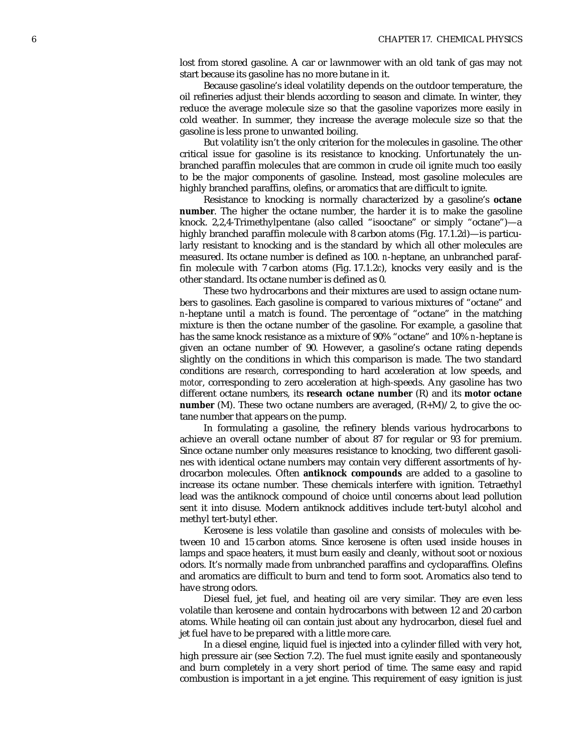lost from stored gasoline. A car or lawnmower with an old tank of gas may not start because its gasoline has no more butane in it.

Because gasoline's ideal volatility depends on the outdoor temperature, the oil refineries adjust their blends according to season and climate. In winter, they reduce the average molecule size so that the gasoline vaporizes more easily in cold weather. In summer, they increase the average molecule size so that the gasoline is less prone to unwanted boiling.

But volatility isn't the only criterion for the molecules in gasoline. The other critical issue for gasoline is its resistance to knocking. Unfortunately the unbranched paraffin molecules that are common in crude oil ignite much too easily to be the major components of gasoline. Instead, most gasoline molecules are highly branched paraffins, olefins, or aromatics that are difficult to ignite.

Resistance to knocking is normally characterized by a gasoline's **octane number**. The higher the octane number, the harder it is to make the gasoline knock. 2,2,4-Trimethylpentane (also called "isooctane" or simply "octane")—a highly branched paraffin molecule with 8 carbon atoms (Fig. 17.1.2*d*)—is particularly resistant to knocking and is the standard by which all other molecules are measured. Its octane number is defined as 100. *n*-heptane, an unbranched paraffin molecule with 7 carbon atoms (Fig. 17.1.2*c*), knocks very easily and is the other standard. Its octane number is defined as 0.

These two hydrocarbons and their mixtures are used to assign octane numbers to gasolines. Each gasoline is compared to various mixtures of "octane" and *n*-heptane until a match is found. The percentage of "octane" in the matching mixture is then the octane number of the gasoline. For example, a gasoline that has the same knock resistance as a mixture of 90% "octane" and 10% *n*-heptane is given an octane number of 90. However, a gasoline's octane rating depends slightly on the conditions in which this comparison is made. The two standard conditions are *research*, corresponding to hard acceleration at low speeds, and *motor*, corresponding to zero acceleration at high-speeds. Any gasoline has two different octane numbers, its **research octane number** (R) and its **motor octane number** (M). These two octane numbers are averaged,  $(R+M)/2$ , to give the octane number that appears on the pump.

In formulating a gasoline, the refinery blends various hydrocarbons to achieve an overall octane number of about 87 for regular or 93 for premium. Since octane number only measures resistance to knocking, two different gasolines with identical octane numbers may contain very different assortments of hydrocarbon molecules. Often **antiknock compounds** are added to a gasoline to increase its octane number. These chemicals interfere with ignition. Tetraethyl lead was the antiknock compound of choice until concerns about lead pollution sent it into disuse. Modern antiknock additives include tert-butyl alcohol and methyl tert-butyl ether.

Kerosene is less volatile than gasoline and consists of molecules with between 10 and 15 carbon atoms. Since kerosene is often used inside houses in lamps and space heaters, it must burn easily and cleanly, without soot or noxious odors. It's normally made from unbranched paraffins and cycloparaffins. Olefins and aromatics are difficult to burn and tend to form soot. Aromatics also tend to have strong odors.

Diesel fuel, jet fuel, and heating oil are very similar. They are even less volatile than kerosene and contain hydrocarbons with between 12 and 20 carbon atoms. While heating oil can contain just about any hydrocarbon, diesel fuel and jet fuel have to be prepared with a little more care.

In a diesel engine, liquid fuel is injected into a cylinder filled with very hot, high pressure air (see Section 7.2). The fuel must ignite easily and spontaneously and burn completely in a very short period of time. The same easy and rapid combustion is important in a jet engine. This requirement of easy ignition is just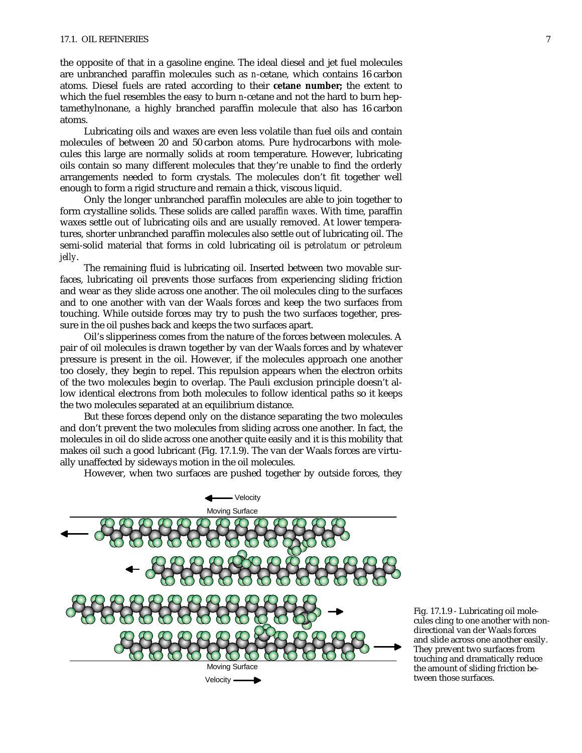the opposite of that in a gasoline engine. The ideal diesel and jet fuel molecules are unbranched paraffin molecules such as *n*-cetane, which contains 16 carbon atoms. Diesel fuels are rated according to their **cetane number;** the extent to which the fuel resembles the easy to burn *n*-cetane and not the hard to burn heptamethylnonane, a highly branched paraffin molecule that also has 16 carbon atoms.

Lubricating oils and waxes are even less volatile than fuel oils and contain molecules of between 20 and 50 carbon atoms. Pure hydrocarbons with molecules this large are normally solids at room temperature. However, lubricating oils contain so many different molecules that they're unable to find the orderly arrangements needed to form crystals. The molecules don't fit together well enough to form a rigid structure and remain a thick, viscous liquid.

Only the longer unbranched paraffin molecules are able to join together to form crystalline solids. These solids are called *paraffin waxes*. With time, paraffin waxes settle out of lubricating oils and are usually removed. At lower temperatures, shorter unbranched paraffin molecules also settle out of lubricating oil. The semi-solid material that forms in cold lubricating oil is *petrolatum* or *petroleum jelly*.

The remaining fluid is lubricating oil. Inserted between two movable surfaces, lubricating oil prevents those surfaces from experiencing sliding friction and wear as they slide across one another. The oil molecules cling to the surfaces and to one another with van der Waals forces and keep the two surfaces from touching. While outside forces may try to push the two surfaces together, pressure in the oil pushes back and keeps the two surfaces apart.

Oil's slipperiness comes from the nature of the forces between molecules. A pair of oil molecules is drawn together by van der Waals forces and by whatever pressure is present in the oil. However, if the molecules approach one another too closely, they begin to repel. This repulsion appears when the electron orbits of the two molecules begin to overlap. The Pauli exclusion principle doesn't allow identical electrons from both molecules to follow identical paths so it keeps the two molecules separated at an equilibrium distance.

But these forces depend only on the distance separating the two molecules and don't prevent the two molecules from sliding across one another. In fact, the molecules in oil do slide across one another quite easily and it is this mobility that makes oil such a good lubricant (Fig. 17.1.9). The van der Waals forces are virtually unaffected by sideways motion in the oil molecules.

However, when two surfaces are pushed together by outside forces, they



Fig. 17.1.9 - Lubricating oil molecules cling to one another with nondirectional van der Waals forces and slide across one another easily. They prevent two surfaces from touching and dramatically reduce the amount of sliding friction between those surfaces.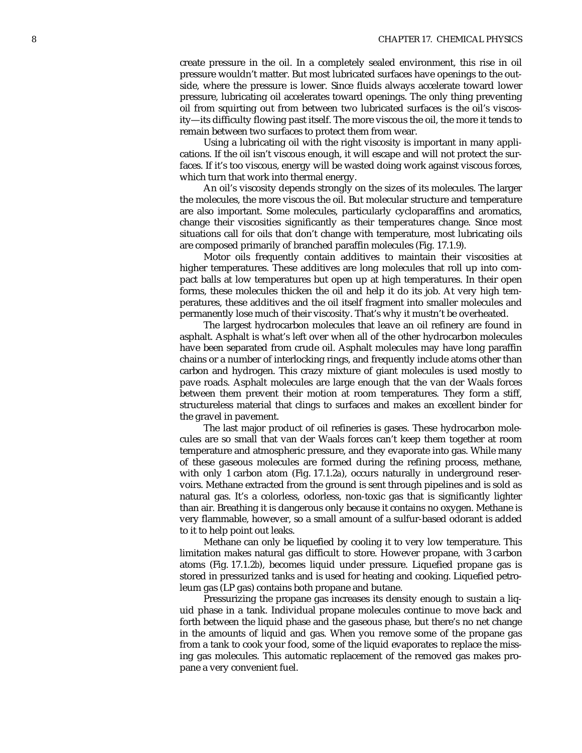create pressure in the oil. In a completely sealed environment, this rise in oil pressure wouldn't matter. But most lubricated surfaces have openings to the outside, where the pressure is lower. Since fluids always accelerate toward lower pressure, lubricating oil accelerates toward openings. The only thing preventing oil from squirting out from between two lubricated surfaces is the oil's viscosity—its difficulty flowing past itself. The more viscous the oil, the more it tends to remain between two surfaces to protect them from wear.

Using a lubricating oil with the right viscosity is important in many applications. If the oil isn't viscous enough, it will escape and will not protect the surfaces. If it's too viscous, energy will be wasted doing work against viscous forces, which turn that work into thermal energy.

An oil's viscosity depends strongly on the sizes of its molecules. The larger the molecules, the more viscous the oil. But molecular structure and temperature are also important. Some molecules, particularly cycloparaffins and aromatics, change their viscosities significantly as their temperatures change. Since most situations call for oils that don't change with temperature, most lubricating oils are composed primarily of branched paraffin molecules (Fig. 17.1.9).

Motor oils frequently contain additives to maintain their viscosities at higher temperatures. These additives are long molecules that roll up into compact balls at low temperatures but open up at high temperatures. In their open forms, these molecules thicken the oil and help it do its job. At very high temperatures, these additives and the oil itself fragment into smaller molecules and permanently lose much of their viscosity. That's why it mustn't be overheated.

The largest hydrocarbon molecules that leave an oil refinery are found in asphalt. Asphalt is what's left over when all of the other hydrocarbon molecules have been separated from crude oil. Asphalt molecules may have long paraffin chains or a number of interlocking rings, and frequently include atoms other than carbon and hydrogen. This crazy mixture of giant molecules is used mostly to pave roads. Asphalt molecules are large enough that the van der Waals forces between them prevent their motion at room temperatures. They form a stiff, structureless material that clings to surfaces and makes an excellent binder for the gravel in pavement.

The last major product of oil refineries is gases. These hydrocarbon molecules are so small that van der Waals forces can't keep them together at room temperature and atmospheric pressure, and they evaporate into gas. While many of these gaseous molecules are formed during the refining process, methane, with only 1 carbon atom (Fig. 17.1.2*a*), occurs naturally in underground reservoirs. Methane extracted from the ground is sent through pipelines and is sold as natural gas. It's a colorless, odorless, non-toxic gas that is significantly lighter than air. Breathing it is dangerous only because it contains no oxygen. Methane is very flammable, however, so a small amount of a sulfur-based odorant is added to it to help point out leaks.

Methane can only be liquefied by cooling it to very low temperature. This limitation makes natural gas difficult to store. However propane, with 3 carbon atoms (Fig. 17.1.2*b*), becomes liquid under pressure. Liquefied propane gas is stored in pressurized tanks and is used for heating and cooking. Liquefied petroleum gas (LP gas) contains both propane and butane.

Pressurizing the propane gas increases its density enough to sustain a liquid phase in a tank. Individual propane molecules continue to move back and forth between the liquid phase and the gaseous phase, but there's no net change in the amounts of liquid and gas. When you remove some of the propane gas from a tank to cook your food, some of the liquid evaporates to replace the missing gas molecules. This automatic replacement of the removed gas makes propane a very convenient fuel.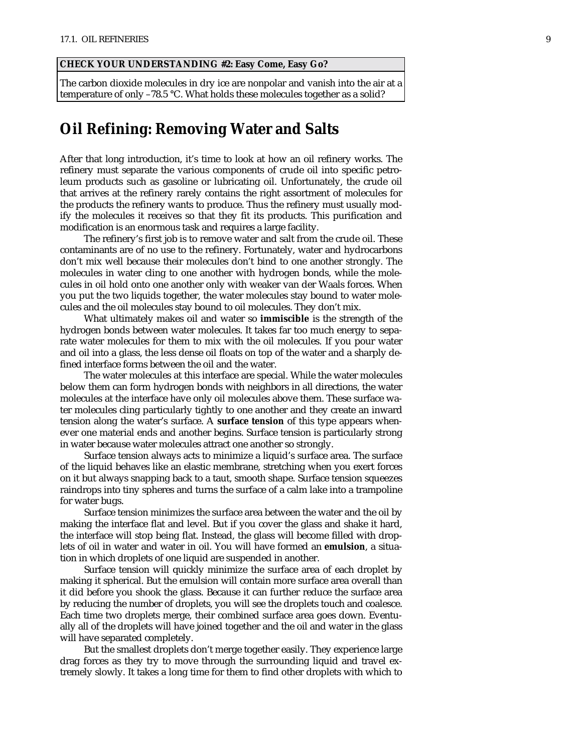### **CHECK YOUR UNDERSTANDING #2: Easy Come, Easy Go?**

The carbon dioxide molecules in dry ice are nonpolar and vanish into the air at a temperature of only –78.5 °C. What holds these molecules together as a solid?

## **Oil Refining: Removing Water and Salts**

After that long introduction, it's time to look at how an oil refinery works. The refinery must separate the various components of crude oil into specific petroleum products such as gasoline or lubricating oil. Unfortunately, the crude oil that arrives at the refinery rarely contains the right assortment of molecules for the products the refinery wants to produce. Thus the refinery must usually modify the molecules it receives so that they fit its products. This purification and modification is an enormous task and requires a large facility.

The refinery 's first job is to remove water and salt from the crude oil. These contaminants are of no use to the refinery. Fortunately, water and hydrocarbons don't mix well because their molecules don't bind to one another strongly. The molecules in water cling to one another with hydrogen bonds, while the molecules in oil hold onto one another only with weaker van der Waals forces. When you put the two liquids together, the water molecules stay bound to water molecules and the oil molecules stay bound to oil molecules. They don't mix.

What ultimately makes oil and water so **immiscible** is the strength of the hydrogen bonds between water molecules. It takes far too much energy to separate water molecules for them to mix with the oil molecules. If you pour water and oil into a glass, the less dense oil floats on top of the water and a sharply defined interface forms between the oil and the water.

The water molecules at this interface are special. While the water molecules below them can form hydrogen bonds with neighbors in all directions, the water molecules at the interface have only oil molecules above them. These surface water molecules cling particularly tightly to one another and they create an inward tension along the water's surface. A **surface tension** of this type appears whenever one material ends and another begins. Surface tension is particularly strong in water because water molecules attract one another so strongly.

Surface tension always acts to minimize a liquid 's surface area. The surface of the liquid behaves like an elastic membrane, stretching when you exert forces on it but always snapping back to a taut, smooth shape. Surface tension squeezes raindrops into tiny spheres and turns the surface of a calm lake into a trampoline for water bugs.

Surface tension minimizes the surface area between the water and the oil by making the interface flat and level. But if you cover the glass and shake it hard, the interface will stop being flat. Instead, the glass will become filled with droplets of oil in water and water in oil. You will have formed an **emulsion**, a situation in which droplets of one liquid are suspended in another.

Surface tension will quickly minimize the surface area of each droplet by making it spherical. But the emulsion will contain more surface area overall than it did before you shook the glass. Because it can further reduce the surface area by reducing the number of droplets, you will see the droplets touch and coalesce. Each time two droplets merge, their combined surface area goes down. Eventually all of the droplets will have joined together and the oil and water in the glass will have separated completely.

But the smallest droplets don't merge together easily. They experience large drag forces as they try to move through the surrounding liquid and travel extremely slowly. It takes a long time for them to find other droplets with which to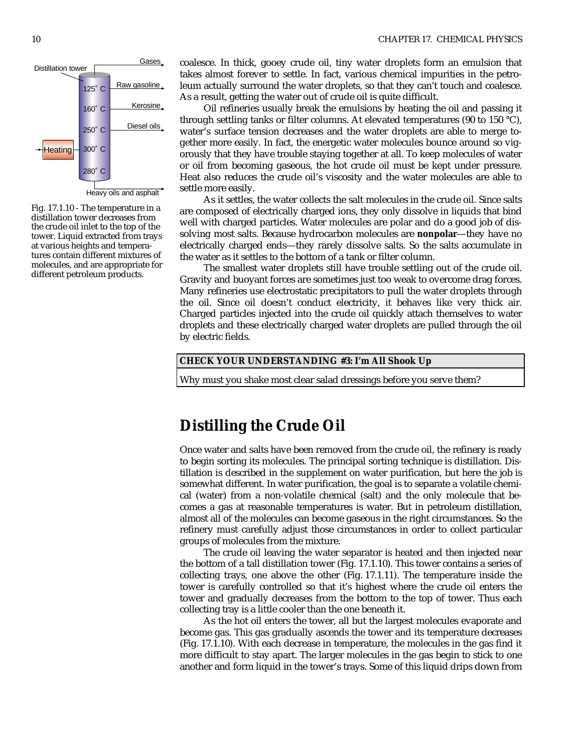

Fig. 17.1.10 - The temperature in a distillation tower decreases from the crude oil inlet to the top of the tower. Liquid extracted from trays at various heights and temperatures contain different mixtures of molecules, and are appropriate for different petroleum products.

coalesce. In thick, gooey crude oil, tiny water droplets form an emulsion that takes almost forever to settle. In fact, various chemical impurities in the petroleum actually surround the water droplets, so that they can't touch and coalesce. As a result, getting the water out of crude oil is quite difficult.

Oil refineries usually break the emulsions by heating the oil and passing it through settling tanks or filter columns. At elevated temperatures (90 to 150 °C), water's surface tension decreases and the water droplets are able to merge together more easily. In fact, the energetic water molecules bounce around so vigorously that they have trouble staying together at all. To keep molecules of water or oil from becoming gaseous, the hot crude oil must be kept under pressure. Heat also reduces the crude oil's viscosity and the water molecules are able to settle more easily.

As it settles, the water collects the salt molecules in the crude oil. Since salts are composed of electrically charged ions, they only dissolve in liquids that bind well with charged particles. Water molecules are polar and do a good job of dissolving most salts. Because hydrocarbon molecules are **nonpolar**—they have no electrically charged ends—they rarely dissolve salts. So the salts accumulate in the water as it settles to the bottom of a tank or filter column.

The smallest water droplets still have trouble settling out of the crude oil. Gravity and buoyant forces are sometimes just too weak to overcome drag forces. Many refineries use electrostatic precipitators to pull the water droplets through the oil. Since oil doesn't conduct electricity, it behaves like very thick air. Charged particles injected into the crude oil quickly attach themselves to water droplets and these electrically charged water droplets are pulled through the oil by electric fields.

#### **CHECK YOUR UNDERSTANDING #3: I'm All Shook Up**

Why must you shake most clear salad dressings before you serve them?

## **Distilling the Crude Oil**

Once water and salts have been removed from the crude oil, the refinery is ready to begin sorting its molecules. The principal sorting technique is distillation. Distillation is described in the supplement on water purification, but here the job is somewhat different. In water purification, the goal is to separate a volatile chemical (water) from a non-volatile chemical (salt) and the only molecule that becomes a gas at reasonable temperatures is water. But in petroleum distillation, almost all of the molecules can become gaseous in the right circumstances. So the refinery must carefully adjust those circumstances in order to collect particular groups of molecules from the mixture.

The crude oil leaving the water separator is heated and then injected near the bottom of a tall distillation tower (Fig. 17.1.10). This tower contains a series of collecting trays, one above the other (Fig. 17.1.11). The temperature inside the tower is carefully controlled so that it's highest where the crude oil enters the tower and gradually decreases from the bottom to the top of tower. Thus each collecting tray is a little cooler than the one beneath it.

As the hot oil enters the tower, all but the largest molecules evaporate and become gas. This gas gradually ascends the tower and its temperature decreases (Fig. 17.1.10). With each decrease in temperature, the molecules in the gas find it more difficult to stay apart. The larger molecules in the gas begin to stick to one another and form liquid in the tower's trays. Some of this liquid drips down from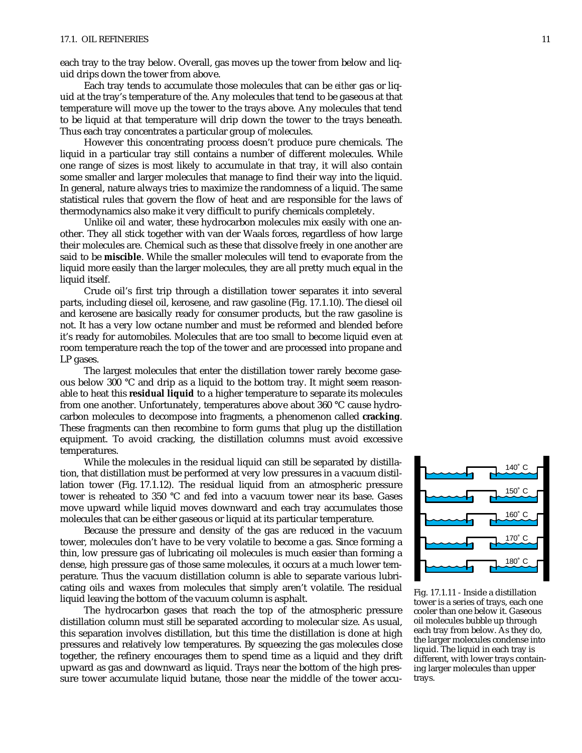each tray to the tray below. Overall, gas moves up the tower from below and liquid drips down the tower from above.

Each tray tends to accumulate those molecules that can be *either* gas or liquid at the tray's temperature of the. Any molecules that tend to be gaseous at that temperature will move up the tower to the trays above. Any molecules that tend to be liquid at that temperature will drip down the tower to the trays beneath. Thus each tray concentrates a particular group of molecules.

However this concentrating process doesn't produce pure chemicals. The liquid in a particular tray still contains a number of different molecules. While one range of sizes is most likely to accumulate in that tray, it will also contain some smaller and larger molecules that manage to find their way into the liquid. In general, nature always tries to maximize the randomness of a liquid. The same statistical rules that govern the flow of heat and are responsible for the laws of thermodynamics also make it very difficult to purify chemicals completely.

Unlike oil and water, these hydrocarbon molecules mix easily with one another. They all stick together with van der Waals forces, regardless of how large their molecules are. Chemical such as these that dissolve freely in one another are said to be **miscible**. While the smaller molecules will tend to evaporate from the liquid more easily than the larger molecules, they are all pretty much equal in the liquid itself.

Crude oil's first trip through a distillation tower separates it into several parts, including diesel oil, kerosene, and raw gasoline (Fig. 17.1.10). The diesel oil and kerosene are basically ready for consumer products, but the raw gasoline is not. It has a very low octane number and must be reformed and blended before it's ready for automobiles. Molecules that are too small to become liquid even at room temperature reach the top of the tower and are processed into propane and LP gases.

The largest molecules that enter the distillation tower rarely become gaseous below 300 °C and drip as a liquid to the bottom tray. It might seem reasonable to heat this **residual liquid** to a higher temperature to separate its molecules from one another. Unfortunately, temperatures above about 360 °C cause hydrocarbon molecules to decompose into fragments, a phenomenon called **cracking**. These fragments can then recombine to form gums that plug up the distillation equipment. To avoid cracking, the distillation columns must avoid excessive temperatures.

While the molecules in the residual liquid can still be separated by distillation, that distillation must be performed at very low pressures in a vacuum distillation tower (Fig. 17.1.12). The residual liquid from an atmospheric pressure tower is reheated to 350 °C and fed into a vacuum tower near its base. Gases move upward while liquid moves downward and each tray accumulates those molecules that can be either gaseous or liquid at its particular temperature.

Because the pressure and density of the gas are reduced in the vacuum tower, molecules don't have to be very volatile to become a gas. Since forming a thin, low pressure gas of lubricating oil molecules is much easier than forming a dense, high pressure gas of those same molecules, it occurs at a much lower temperature. Thus the vacuum distillation column is able to separate various lubricating oils and waxes from molecules that simply aren't volatile. The residual liquid leaving the bottom of the vacuum column is asphalt.

The hydrocarbon gases that reach the top of the atmospheric pressure distillation column must still be separated according to molecular size. As usual, this separation involves distillation, but this time the distillation is done at high pressures and relatively low temperatures. By squeezing the gas molecules close together, the refinery encourages them to spend time as a liquid and they drift upward as gas and downward as liquid. Trays near the bottom of the high pressure tower accumulate liquid butane, those near the middle of the tower accu-



Fig. 17.1.11 - Inside a distillation tower is a series of trays, each one cooler than one below it. Gaseous oil molecules bubble up through each tray from below. As they do, the larger molecules condense into liquid. The liquid in each tray is different, with lower trays containing larger molecules than upper trays.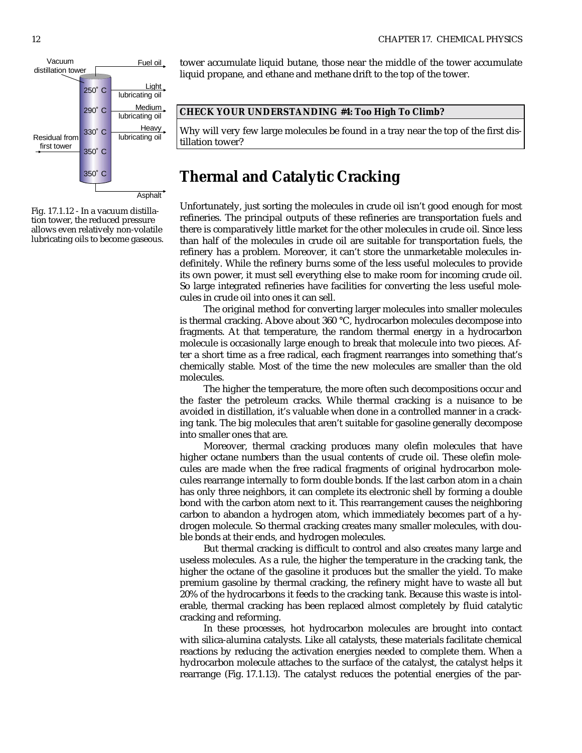

Fig. 17.1.12 - In a vacuum distillation tower, the reduced pressure allows even relatively non-volatile lubricating oils to become gaseous.

tower accumulate liquid butane, those near the middle of the tower accumulate liquid propane, and ethane and methane drift to the top of the tower.

### **CHECK YOUR UNDERSTANDING #4: Too High To Climb?**

Why will very few large molecules be found in a tray near the top of the first distillation tower?

## **Thermal and Catalytic Cracking**

Unfortunately, just sorting the molecules in crude oil isn't good enough for most refineries. The principal outputs of these refineries are transportation fuels and there is comparatively little market for the other molecules in crude oil. Since less than half of the molecules in crude oil are suitable for transportation fuels, the refinery has a problem. Moreover, it can't store the unmarketable molecules indefinitely. While the refinery burns some of the less useful molecules to provide its own power, it must sell everything else to make room for incoming crude oil. So large integrated refineries have facilities for converting the less useful molecules in crude oil into ones it can sell.

The original method for converting larger molecules into smaller molecules is thermal cracking. Above about 360 °C, hydrocarbon molecules decompose into fragments. At that temperature, the random thermal energy in a hydrocarbon molecule is occasionally large enough to break that molecule into two pieces. After a short time as a free radical, each fragment rearranges into something that's chemically stable. Most of the time the new molecules are smaller than the old molecules.

The higher the temperature, the more often such decompositions occur and the faster the petroleum cracks. While thermal cracking is a nuisance to be avoided in distillation, it's valuable when done in a controlled manner in a cracking tank. The big molecules that aren't suitable for gasoline generally decompose into smaller ones that are.

Moreover, thermal cracking produces many olefin molecules that have higher octane numbers than the usual contents of crude oil. These olefin molecules are made when the free radical fragments of original hydrocarbon molecules rearrange internally to form double bonds. If the last carbon atom in a chain has only three neighbors, it can complete its electronic shell by forming a double bond with the carbon atom next to it. This rearrangement causes the neighboring carbon to abandon a hydrogen atom, which immediately becomes part of a hydrogen molecule. So thermal cracking creates many smaller molecules, with double bonds at their ends, and hydrogen molecules.

But thermal cracking is difficult to control and also creates many large and useless molecules. As a rule, the higher the temperature in the cracking tank, the higher the octane of the gasoline it produces but the smaller the yield. To make premium gasoline by thermal cracking, the refinery might have to waste all but 20% of the hydrocarbons it feeds to the cracking tank. Because this waste is intolerable, thermal cracking has been replaced almost completely by fluid catalytic cracking and reforming.

In these processes, hot hydrocarbon molecules are brought into contact with silica-alumina catalysts. Like all catalysts, these materials facilitate chemical reactions by reducing the activation energies needed to complete them. When a hydrocarbon molecule attaches to the surface of the catalyst, the catalyst helps it rearrange (Fig. 17.1.13). The catalyst reduces the potential energies of the par-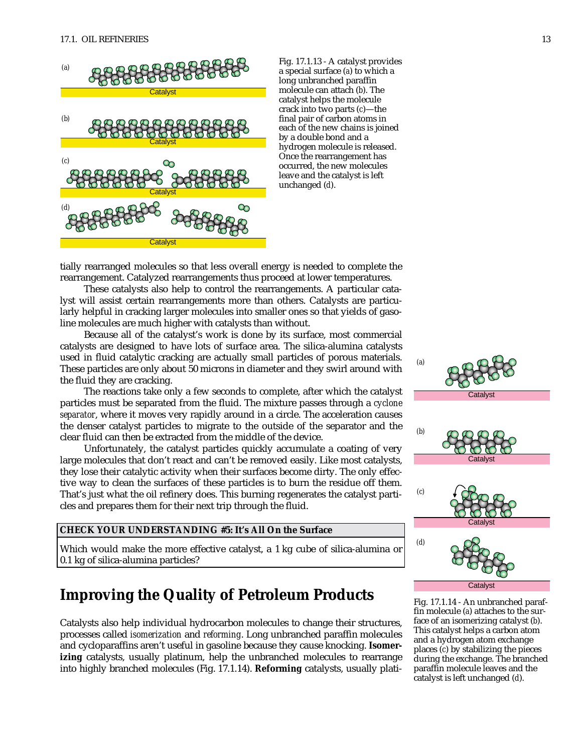

Fig. 17.1.13 - A catalyst provides a special surface (*a*) to which a long unbranched paraffin molecule can attach (*b*). The catalyst helps the molecule crack into two parts (*c*)—the final pair of carbon atoms in each of the new chains is joined by a double bond and a hydrogen molecule is released. Once the rearrangement has occurred, the new molecules leave and the catalyst is left unchanged (*d*).

tially rearranged molecules so that less overall energy is needed to complete the rearrangement. Catalyzed rearrangements thus proceed at lower temperatures.

These catalysts also help to control the rearrangements. A particular catalyst will assist certain rearrangements more than others. Catalysts are particularly helpful in cracking larger molecules into smaller ones so that yields of gasoline molecules are much higher with catalysts than without.

Because all of the catalyst's work is done by its surface, most commercial catalysts are designed to have lots of surface area. The silica-alumina catalysts used in fluid catalytic cracking are actually small particles of porous materials. These particles are only about 50 microns in diameter and they swirl around with the fluid they are cracking.

The reactions take only a few seconds to complete, after which the catalyst particles must be separated from the fluid. The mixture passes through a *cyclone separator*, where it moves very rapidly around in a circle. The acceleration causes the denser catalyst particles to migrate to the outside of the separator and the clear fluid can then be extracted from the middle of the device.

Unfortunately, the catalyst particles quickly accumulate a coating of very large molecules that don't react and can't be removed easily. Like most catalysts, they lose their catalytic activity when their surfaces become dirty. The only effective way to clean the surfaces of these particles is to burn the residue off them. That's just what the oil refinery does. This burning regenerates the catalyst particles and prepares them for their next trip through the fluid.

## **CHECK YOUR UNDERSTANDING #5: It's All On the Surface**

Which would make the more effective catalyst, a 1 kg cube of silica-alumina or 0.1 kg of silica-alumina particles?

# **Improving the Quality of Petroleum Products**

Catalysts also help individual hydrocarbon molecules to change their structures, processes called *isomerization* and *reforming*. Long unbranched paraffin molecules and cycloparaffins aren't useful in gasoline because they cause knocking. **Isomerizing** catalysts, usually platinum, help the unbranched molecules to rearrange into highly branched molecules (Fig. 17.1.14). **Reforming** catalysts, usually plati-



Fig. 17.1.14 - An unbranched paraffin molecule (*a*) attaches to the surface of an isomerizing catalyst (*b*). This catalyst helps a carbon atom and a hydrogen atom exchange places (*c*) by stabilizing the pieces during the exchange. The branched paraffin molecule leaves and the catalyst is left unchanged (*d*).